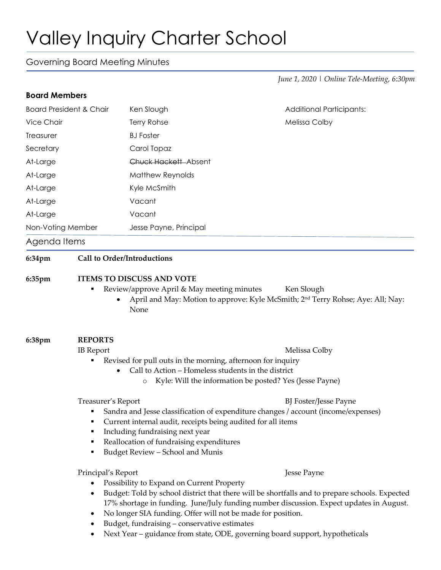## Valley Inquiry Charter School

## Governing Board Meeting Minutes

*June 1, 2020 | Online Tele-Meeting, 6:30pm*

| <b>Board Members</b>                         |                                                                                                                                                                                                                                                                                                                                                                                                                                                                                                   |                                                                    |                                                                                                           |                   |  |                        |  |
|----------------------------------------------|---------------------------------------------------------------------------------------------------------------------------------------------------------------------------------------------------------------------------------------------------------------------------------------------------------------------------------------------------------------------------------------------------------------------------------------------------------------------------------------------------|--------------------------------------------------------------------|-----------------------------------------------------------------------------------------------------------|-------------------|--|------------------------|--|
| <b>Board President &amp; Chair</b>           |                                                                                                                                                                                                                                                                                                                                                                                                                                                                                                   | Ken Slough                                                         | <b>Additional Participants:</b>                                                                           |                   |  |                        |  |
| Vice Chair                                   |                                                                                                                                                                                                                                                                                                                                                                                                                                                                                                   | Terry Rohse                                                        | Melissa Colby                                                                                             |                   |  |                        |  |
| Treasurer                                    |                                                                                                                                                                                                                                                                                                                                                                                                                                                                                                   | <b>BJ Foster</b>                                                   |                                                                                                           |                   |  |                        |  |
| Secretary                                    |                                                                                                                                                                                                                                                                                                                                                                                                                                                                                                   | Carol Topaz                                                        |                                                                                                           |                   |  |                        |  |
| At-Large<br>At-Large<br>At-Large<br>At-Large |                                                                                                                                                                                                                                                                                                                                                                                                                                                                                                   | Chuck Hackett-Absent<br>Matthew Reynolds<br>Kyle McSmith<br>Vacant |                                                                                                           |                   |  |                        |  |
|                                              |                                                                                                                                                                                                                                                                                                                                                                                                                                                                                                   |                                                                    |                                                                                                           | At-Large          |  | Vacant                 |  |
|                                              |                                                                                                                                                                                                                                                                                                                                                                                                                                                                                                   |                                                                    |                                                                                                           | Non-Voting Member |  | Jesse Payne, Principal |  |
|                                              |                                                                                                                                                                                                                                                                                                                                                                                                                                                                                                   |                                                                    |                                                                                                           | Agenda Items      |  |                        |  |
| 6:34pm                                       | <b>Call to Order/Introductions</b>                                                                                                                                                                                                                                                                                                                                                                                                                                                                |                                                                    |                                                                                                           |                   |  |                        |  |
|                                              |                                                                                                                                                                                                                                                                                                                                                                                                                                                                                                   | Review/approve April & May meeting minutes<br>None                 | Ken Slough<br>April and May: Motion to approve: Kyle McSmith; 2 <sup>nd</sup> Terry Rohse; Aye: All; Nay: |                   |  |                        |  |
| 6:38pm                                       | <b>REPORTS</b>                                                                                                                                                                                                                                                                                                                                                                                                                                                                                    |                                                                    |                                                                                                           |                   |  |                        |  |
|                                              | <b>IB</b> Report                                                                                                                                                                                                                                                                                                                                                                                                                                                                                  |                                                                    | Melissa Colby                                                                                             |                   |  |                        |  |
|                                              | Revised for pull outs in the morning, afternoon for inquiry<br>Call to Action - Homeless students in the district                                                                                                                                                                                                                                                                                                                                                                                 |                                                                    |                                                                                                           |                   |  |                        |  |
|                                              | Kyle: Will the information be posted? Yes (Jesse Payne)<br>O                                                                                                                                                                                                                                                                                                                                                                                                                                      |                                                                    |                                                                                                           |                   |  |                        |  |
|                                              | Treasurer's Report<br><b>BJ</b> Foster/Jesse Payne<br>Sandra and Jesse classification of expenditure changes / account (income/expenses)<br>Current internal audit, receipts being audited for all items<br>٠<br>Including fundraising next year<br>٠<br>Reallocation of fundraising expenditures<br>٠<br>Budget Review - School and Munis<br>٠                                                                                                                                                   |                                                                    |                                                                                                           |                   |  |                        |  |
|                                              | Principal's Report<br>Jesse Payne<br>Possibility to Expand on Current Property<br>Budget: Told by school district that there will be shortfalls and to prepare schools. Expected<br>٠<br>17% shortage in funding. June/July funding number discussion. Expect updates in August.<br>No longer SIA funding. Offer will not be made for position.<br>٠<br>Budget, fundraising - conservative estimates<br>Next Year - guidance from state, ODE, governing board support, hypotheticals<br>$\bullet$ |                                                                    |                                                                                                           |                   |  |                        |  |